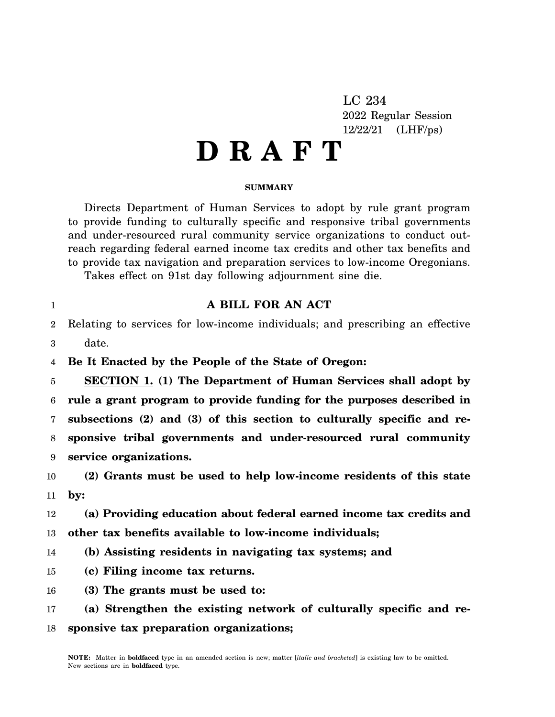LC 234 2022 Regular Session 12/22/21 (LHF/ps)

## **D R A F T**

## **SUMMARY**

Directs Department of Human Services to adopt by rule grant program to provide funding to culturally specific and responsive tribal governments and under-resourced rural community service organizations to conduct outreach regarding federal earned income tax credits and other tax benefits and to provide tax navigation and preparation services to low-income Oregonians.

**A BILL FOR AN ACT**

Takes effect on 91st day following adjournment sine die.

1

12

14

16

| $\overline{2}$ | Relating to services for low-income individuals; and prescribing an effective |
|----------------|-------------------------------------------------------------------------------|
| 3              | date.                                                                         |
| 4              | Be It Enacted by the People of the State of Oregon:                           |
| 5              | <b>SECTION 1. (1) The Department of Human Services shall adopt by</b>         |
| 6              | rule a grant program to provide funding for the purposes described in         |
| 7              | subsections (2) and (3) of this section to culturally specific and re-        |
| 8              | sponsive tribal governments and under-resourced rural community               |
| 9              | service organizations.                                                        |
| 10             | (2) Grants must be used to help low-income residents of this state            |
| 11             | $\mathbf{by:}$                                                                |
| 12             | (a) Providing education about federal earned income tax credits and           |
| 13             | other tax benefits available to low-income individuals;                       |
| 14             | (b) Assisting residents in navigating tax systems; and                        |
| 15             | (c) Filing income tax returns.                                                |
| 16             | (3) The grants must be used to:                                               |
|                |                                                                               |

17 18 **(a) Strengthen the existing network of culturally specific and responsive tax preparation organizations;**